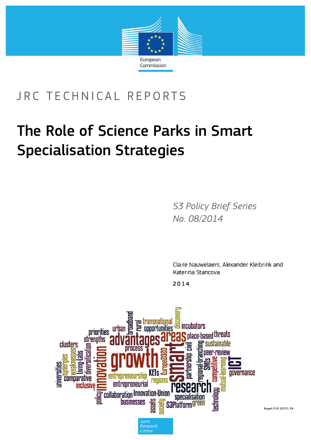

# JRC TECHNICAL REPORTS

ı

# The Role of Science Parks in Science<br>The Role of Strategies Specialisation Strategies

S3 Policy Brief Series No. 08/2014



Report EUR 26701 EN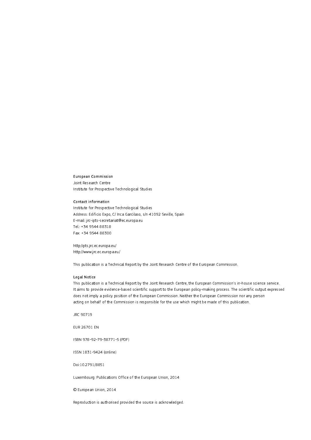European Commission Joint Research Centre Institute for Prospective Technological Studies

#### Contact information

Institute for Prospective Technological Studies Address: Edificio Expo, C/ Inca Garcilaso, s/n 41092 Seville, Spain E-mail: jrc-ipts-secretariat@ec.europa.eu Tel.: +34 9544 88318 Fax: +34 9544 88300

http:/ipts.jrc.ec.europa.eu/ http://www.jrc.ec.europa.eu/

This publication is a Technical Report by the Joint Research Centre of the European Commission.

#### Legal Notice

This publication is a Technical Report by the Joint Research Centre, the European Commission's in-house science service. It aims to provide evidence-based scientific support to the European policy-making process. The scientific output expressed does not imply a policy position of the European Commission. Neither the European Commission nor any person acting on behalf of the Commission is responsible for the use which might be made of this publication.

JRC 90719

EUR 26701 EN

ISBN 978-92-79-38771-5 (PDF)

ISSN 1831-9424 (online)

Doi:10.2791/8851

Luxembourg: Publications Office of the European Union, 2014

© European Union, 2014

Reproduction is authorised provided the source is acknowledged.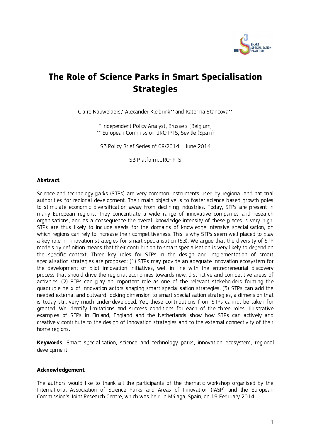

# The Role of Science Parks in Smart Specialisation Strategies

Claire Nauwelaers,\* Alexander Kleibrink\*\* and Katerina Stancova\*\*

\* Independent Policy Analyst, Brussels (Belgium) \*\* European Commission, JRC-IPTS, Seville (Spain)

S3 Policy Brief Series n° 08/2014 – June 2014

S3 Platform, JRC-IPTS

#### Abstract

 $\mu$  c  $\bar{c}$  t r  $c$ Science and technology parks (STPs) are very common instruments used by regional and national authorities for regional development. Their main objective is to foster science-based growth poles to stimulate economic diversification away from declining industries. Today, STPs are present in many European regions. They concentrate a wide range of innovative companies and research organisations, and as a consequence the overall knowledge intensity of these places is very high. STPs are thus likely to include seeds for the domains of knowledge-intensive specialisation, on which regions can rely to increase their competitiveness. This is why STPs seem well placed to play a key role in innovation strategies for smart specialisation (S3). We argue that the diversity of STP models by definition means that their contribution to smart specialisation is very likely to depend on the specific context. Three key roles for STPs in the design and implementation of smart specialisation strategies are proposed: (1) STPs may provide an adequate innovation ecosystem for the development of pilot innovation initiatives, well in line with the entrepreneurial discovery process that should drive the regional economies towards new, distinctive and competitive areas of activities. (2) STPs can play an important role as one of the relevant stakeholders forming the quadruple helix of innovation actors shaping smart specialisation strategies. (3) STPs can add the needed external and outward-looking dimension to smart specialisation strategies, a dimension that is today still very much under-developed. Yet, these contributions from STPs cannot be taken for granted. We identify limitations and success conditions for each of the three roles. Illustrative examples of STPs in Finland, England and the Netherlands show how STPs can actively and creatively contribute to the design of innovation strategies and to the external connectivity of their home regions.

Keywords: Smart specialisation, science and technology parks, innovation ecosystem, regional development

#### Acknowledgement

The authors would like to thank all the participants of the thematic workshop organised by the International Association of Science Parks and Areas of Innovation (IASP) and the European Commission's Joint Research Centre, which was held in Málaga, Spain, on 19 February 2014.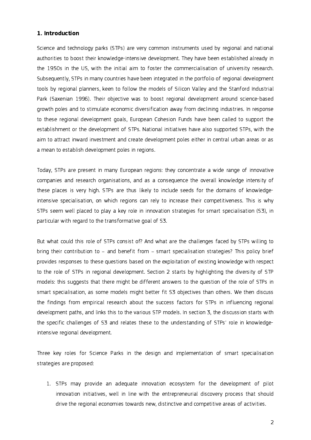#### 1. Introduction

Science and technology parks (STPs) are very common instruments used by regional and national authorities to boost their knowledge-intensive development. They have been established already in the 1950s in the US, with the initial aim to foster the commercialisation of university research. Subsequently, STPs in many countries have been integrated in the portfolio of regional development tools by regional planners, keen to follow the models of Silicon Valley and the Stanford Industrial Park (Saxenian 1996). Their objective was to boost regional development around science-based growth poles and to stimulate economic diversification away from declining industries. In response to these regional development goals, European Cohesion Funds have been called to support the establishment or the development of STPs. National initiatives have also supported STPs, with the aim to attract inward investment and create development poles either in central urban areas or as a mean to establish development poles in regions.

Today, STPs are present in many European regions: they concentrate a wide range of innovative companies and research organisations, and as a consequence the overall knowledge intensity of these places is very high. STPs are thus likely to include seeds for the domains of knowledgeintensive specialisation, on which regions can rely to increase their competitiveness. This is why STPs seem well placed to play a key role in innovation strategies for smart specialisation (S3), in particular with regard to the transformative goal of S3.

But what could this role of STPs consist of? And what are the challenges faced by STPs willing to bring their contribution to – and benefit from – smart specialisation strategies? This policy brief provides responses to these questions based on the exploitation of existing knowledge with respect to the role of STPs in regional development. Section 2 starts by highlighting the diversity of STP models: this suggests that there might be different answers to the question of the role of STPs in smart specialisation, as some models might better fit S3 objectives than others. We then discuss<br>the findings from empirical research about the success factors for STPs in influencing regional<br>development paths, and links the findings from empirical research about the success factors for STPs in influencing regional development paths, and links this to the various STP models. In section 3, the discussion starts with the specific challenges of S3 and relates these to the understanding of STPs' role in knowledgeintensive regional development.

Three key roles for Science Parks in the design and implementation of smart specialisation strategies are proposed:

1. STPs may provide an adequate innovation ecosystem for the development of pilot innovation initiatives, well in line with the entrepreneurial discovery process that should drive the regional economies towards new, distinctive and competitive areas of activities.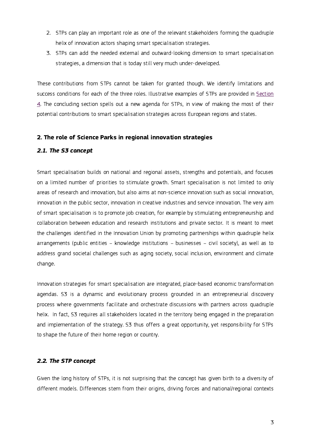- 2. STPs can play an important role as one of the relevant stakeholders forming the quadruple helix of innovation actors shaping smart specialisation strategies.
- 3. STPs can add the needed external and outward-looking dimension to smart specialisation strategies, a dimension that is today still very much under-developed.

These contributions from STPs cannot be taken for granted though. We identify limitations and success conditions for each of the three roles. Illustrative examples of STPs are provided in Section 4. The concluding section spells out a new agenda for STPs, in view of making the most of their potential contributions to smart specialisation strategies across European regions and states.

#### 2. The role of Science Parks in regional innovation strategies

#### 2.1. The S3 concept

Smart specialisation builds on national and regional assets, strengths and potentials, and focuses on a limited number of priorities to stimulate growth. Smart specialisation is not limited to only areas of research and innovation, but also aims at non-science innovation such as social innovation, innovation in the public sector, innovation in creative industries and service innovation. The very aim of smart specialisation is to promote job creation, for example by stimulating entrepreneurship and collaboration between education and research institutions and private sector. It is meant to meet the challenges identified in the Innovation Union by promoting partnerships within quadruple helix arrangements (public entities – knowledge institutions – businesses – civil society), as well as to address grand societal challenges such as aging society, social inclusion, environment and climate change.

Innovation strategies for smart specialisation are integrated, place-based economic transformation agendas. S3 is a dynamic and evolutionary process grounded in an entrepreneurial discovery process where governments facilitate and orchestrate discussions with partners across quadruple helix. In fact, S3 requires all stakeholders located in the territory being engaged in the preparation and implementation of the strategy. S3 thus offers a great opportunity, yet responsibility for STPs to shape the future of their home region or country.

#### 2.2. The STP concept

Given the long history of STPs, it is not surprising that the concept has given birth to a diversity of different models. Differences stem from their origins, driving forces and national/regional contexts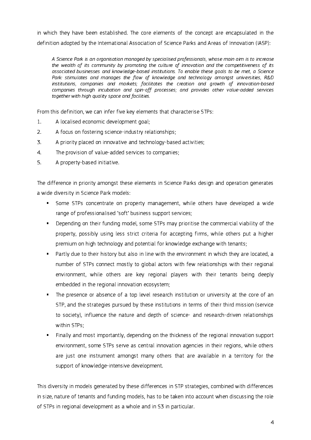in which they have been established. The core elements of the concept are encapsulated in the definition adopted by the International Association of Science Parks and Areas of Innovation (IASP):

A Science Park is an organisation managed by specialised professionals, whose main aim is to increase the wealth of its community by promoting the culture of innovation and the competitiveness of its associated businesses and knowledge-based institutions. To enable these goals to be met, a Science Park: stimulates and manages the flow of knowledge and technology amongst universities, R&D institutions, companies and markets; facilitates the creation and growth of innovation-based companies through incubation and spin-off processes; and provides other value-added services together with high quality space and facilities.

From this definition, we can infer five key elements that characterise STPs:

- 1. A localised economic development goal;
- 2. A focus on fostering science-industry relationships;
- 3. A priority placed on innovative and technology-based activities;
- 4. The provision of value-added services to companies;
- 5. A property-based initiative.

The difference in priority amongst these elements in Science Parks design and operation generates a wide diversity in Science Park models:

- Some STPs concentrate on property management, while others have developed a wide range of professionalised 'soft' business support services;
- **Depending on their funding model, some STPs may prioritise the commercial viability of the** property, possibly using less strict criteria for accepting firms, while others put a higher premium on high technology and potential for knowledge exchange with tenants;
- **Partly due to their history but also in line with the environment in which they are located, a** number of STPs connect mostly to global actors with few relationships with their regional environment, while others are key regional players with their tenants being deeply embedded in the regional innovation ecosystem;
- The presence or absence of a top level research institution or university at the core of an STP, and the strategies pursued by these institutions in terms of their third mission (service to society), influence the nature and depth of science- and research-driven relationships within STPs;
- Finally and most importantly, depending on the thickness of the regional innovation support environment, some STPs serve as central innovation agencies in their regions, while others are just one instrument amongst many others that are available in a territory for the support of knowledge-intensive development.

This diversity in models generated by these differences in STP strategies, combined with differences in size, nature of tenants and funding models, has to be taken into account when discussing the role of STPs in regional development as a whole and in S3 in particular.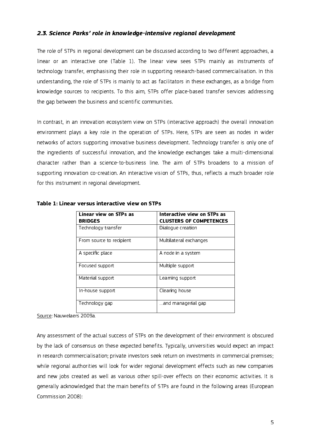#### 2.3. Science Parks' role in knowledge-intensive regional development

The role of STPs in regional development can be discussed according to two different approaches, a linear or an interactive one (Table 1). The linear view sees STPs mainly as instruments of technology transfer, emphasising their role in supporting research-based commercialisation. In this understanding, the role of STPs is mainly to act as facilitators in these exchanges, as a bridge from knowledge sources to recipients. To this aim, STPs offer place-based transfer services addressing the gap between the business and scientific communities.

In contrast, in an innovation ecosystem view on STPs (interactive approach) the overall innovation environment plays a key role in the operation of STPs. Here, STPs are seen as nodes in wider networks of actors supporting innovative business development. Technology transfer is only one of the ingredients of successful innovation, and the knowledge exchanges take a multi-dimensional character rather than a science-to-business line. The aim of STPs broadens to a mission of supporting innovation co-creation. An interactive vision of STPs, thus, reflects a much broader role for this instrument in regional development.

| Linear view on STPs as<br><b>BRIDGES</b> | Interactive view on STPs as<br><b>CLUSTERS OF COMPETENCES</b> |
|------------------------------------------|---------------------------------------------------------------|
| Technology transfer                      | Dialogue creation                                             |
| From source to recipient                 | Multilateral exchanges                                        |
| A specific place                         | A node in a system                                            |
| Focused support                          | Multiple support                                              |
| Material support                         | Learning support                                              |
| In-house support                         | Clearing house                                                |
| Technology gap                           | and managerial gap                                            |

Table 1: Linear versus interactive view on STPs

Source: Nauwelaers 2009a.

Any assessment of the actual success of STPs on the development of their environment is obscured by the lack of consensus on these expected benefits. Typically, universities would expect an impact in research commercialisation; private investors seek return on investments in commercial premises; while regional authorities will look for wider regional development effects such as new companies and new jobs created as well as various other spill-over effects on their economic activities. It is generally acknowledged that the main benefits of STPs are found in the following areas (European Commission 2008):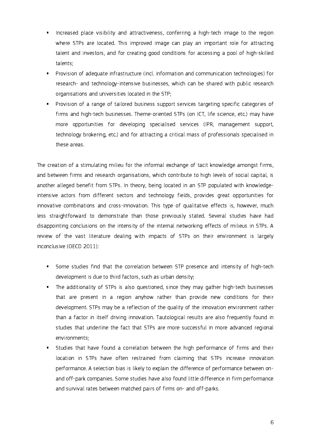- **Increased place visibility and attractiveness, conferring a high-tech image to the region** where STPs are located. This improved image can play an important role for attracting talent and investors, and for creating good conditions for accessing a pool of high-skilled talents;
- Provision of adequate infrastructure (incl. information and communication technologies) for research- and technology-intensive businesses, which can be shared with public research organisations and universities located in the STP;
- Provision of a range of tailored business support services targeting specific categories of firms and high-tech businesses. Theme-oriented STPs (on ICT, life science, etc.) may have more opportunities for developing specialised services (IPR, management support, technology brokering, etc.) and for attracting a critical mass of professionals specialised in these areas.

The creation of a stimulating milieu for the informal exchange of tacit knowledge amongst firms, and between firms and research organisations, which contribute to high levels of social capital, is another alleged benefit from STPs. In theory, being located in an STP populated with knowledgeintensive actors from different sectors and technology fields, provides great opportunities for innovative combinations and cross-innovation. This type of qualitative effects is, however, much less straightforward to demonstrate than those previously stated. Several studies have had disappointing conclusions on the intensity of the internal networking effects of milieus in STPs. A review of the vast literature dealing with impacts of STPs on their environment is largely inconclusive (OECD 2011):

- Some studies find that the correlation between STP presence and intensity of high-tech development is due to third factors, such as urban density;
- The additionality of STPs is also questioned, since they may gather high-tech businesses that are present in a region anyhow rather than provide new conditions for their development. STPs may be a reflection of the quality of the innovation environment rather than a factor in itself driving innovation. Tautological results are also frequently found in studies that underline the fact that STPs are more successful in more advanced regional environments;
- Studies that have found a correlation between the high performance of firms and their location in STPs have often restrained from claiming that STPs increase innovation performance. A selection bias is likely to explain the difference of performance between onand off-park companies. Some studies have also found little difference in firm performance and survival rates between matched pairs of firms on- and off-parks.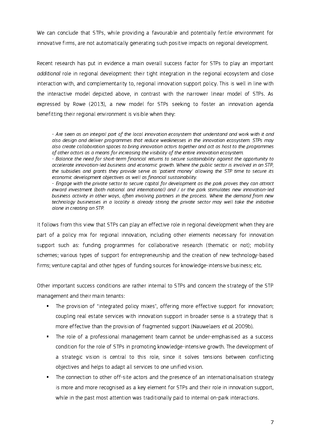We can conclude that STPs, while providing a favourable and potentially fertile environment for innovative firms, are not automatically generating such positive impacts on regional development.

Recent research has put in evidence a main overall success factor for STPs to play an important additional role in regional development: their tight integration in the regional ecosystem and close interaction with, and complementarity to, regional innovation support policy. This is well in line with the interactive model depicted above, in contrast with the narrower linear model of STPs. As expressed by Rowe (2013), a new model for STPs seeking to foster an innovation agenda benefitting their regional environment is visible when they:

- Are seen as an integral part of the local innovation ecosystem that understand and work with it and also design and deliver programmes that reduce weaknesses in the innovation ecosystem. STPs may also create collaboration spaces to bring innovation actors together and act as host to the programmes of other actors as a means for increasing the visibility of the entire innovation ecosystem.

- Engage with the private sector to secure capital for development as the park proves they can attract inward investment (both national and international) and / or the park stimulates new innovation-led business activity in other ways, often involving partners in the process. Where the demand from new technology businesses in a locality is already strong the private sector may well take the initiative alone in creating an STP.

It follows from this view that STPs can play an effective role in regional development when they are part of a policy mix for regional innovation, including other elements necessary for innovation support such as: funding programmes for collaborative research (thematic or not); mobility schemes; various types of support for entrepreneurship and the creation of new technology-based firms; venture capital and other types of funding sources for knowledge-intensive business; etc.

Other important success conditions are rather internal to STPs and concern the strategy of the STP management and their main tenants:

- The provision of "integrated policy mixes", offering more effective support for innovation; coupling real estate services with innovation support in broader sense is a strategy that is more effective than the provision of fragmented support (Nauwelaers et al. 2009b).
- The role of a professional management team cannot be under-emphasised as a success condition for the role of STPs in promoting knowledge-intensive growth. The development of a strategic vision is central to this role, since it solves tensions between conflicting objectives and helps to adapt all services to one unified vision.
- **The connection to other off-site actors and the presence of an internationalisation strategy** is more and more recognised as a key element for STPs and their role in innovation support, while in the past most attention was traditionally paid to internal on-park interactions.

<sup>-</sup> Balance the need for short-term financial returns to secure sustainability against the opportunity to accelerate innovation-led business and economic growth. Where the public sector is involved in an STP, the subsidies and grants they provide serve as 'patient money' allowing the STP time to secure its economic development objectives as well as financial sustainability.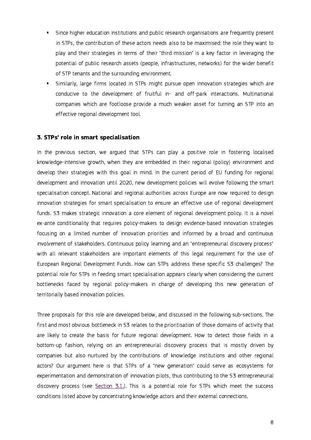- Since higher education institutions and public research organisations are frequently present in STPs, the contribution of these actors needs also to be maximised: the role they want to play and their strategies in terms of their 'third mission' is a key factor in leveraging the potential of public research assets (people, infrastructures, networks) for the wider benefit of STP tenants and the surrounding environment.
- Similarly, large firms located in STPs might pursue open innovation strategies which are conducive to the development of fruitful in- and off-park interactions. Multinational companies which are footloose provide a much weaker asset for turning an STP into an effective regional development tool.

#### 3. STPs' role in smart specialisation

In the previous section, we argued that STPs can play a positive role in fostering localised knowledge-intensive growth, when they are embedded in their regional (policy) environment and develop their strategies with this goal in mind. In the current period of EU funding for regional development and innovation until 2020, new development policies will evolve following the smart specialisation concept. National and regional authorities across Europe are now required to design innovation strategies for smart specialisation to ensure an effective use of regional development funds. S3 makes strategic innovation a core element of regional development policy. It is a novel ex-ante conditionality that requires policy-makers to design evidence-based innovation strategies focusing on a limited number of innovation priorities and informed by a broad and continuous involvement of stakeholders. Continuous policy learning and an "entrepreneurial discovery process" with all relevant stakeholders are important elements of this legal requirement for the use of European Regional Development Funds. How can STPs address these specific S3 challenges? The potential role for STPs in feeding smart specialisation appears clearly when considering the current bottlenecks faced by regional policy-makers in charge of developing this new generation of territorially based innovation policies.

Three proposals for this role are developed below, and discussed in the following sub-sections. The first and most obvious bottleneck in S3 relates to the prioritisation of those domains of activity that are likely to create the basis for future regional development. How to detect those fields in a bottom-up fashion, relying on an entrepreneurial discovery process that is mostly driven by companies but also nurtured by the contributions of knowledge institutions and other regional actors? Our argument here is that STPs of a "new generation" could serve as ecosystems for experimentation and demonstration of innovation pilots, thus contributing to the S3 entrepreneurial discovery process (see Section 3.1.). This is a potential role for STPs which meet the success conditions listed above by concentrating knowledge actors and their external connections.

8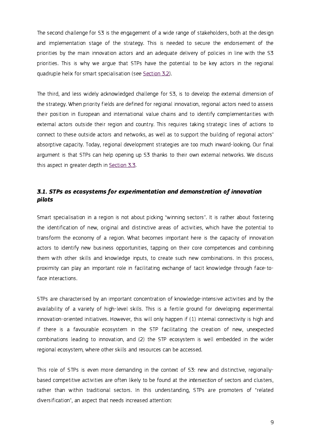The second challenge for S3 is the engagement of a wide range of stakeholders, both at the design and implementation stage of the strategy. This is needed to secure the endorsement of the priorities by the main innovation actors and an adequate delivery of policies in line with the S3 priorities. This is why we argue that STPs have the potential to be key actors in the regional quadruple helix for smart specialisation (see Section 3.2).

The third, and less widely acknowledged challenge for S3, is to develop the external dimension of the strategy. When priority fields are defined for regional innovation, regional actors need to assess their position in European and international value chains and to identify complementarities with external actors outside their region and country. This requires taking strategic lines of actions to connect to these outside actors and networks, as well as to support the building of regional actors' absorptive capacity. Today, regional development strategies are too much inward-looking. Our final argument is that STPs can help opening up S3 thanks to their own external networks. We discuss this aspect in greater depth in Section 3.3.

#### 3.1. STPs as ecosystems for experimentation and demonstration of innovation pilots

Smart specialisation in a region is not about picking "winning sectors". It is rather about fostering the identification of new, original and distinctive areas of activities, which have the potential to transform the economy of a region. What becomes important here is the capacity of innovation actors to identify new business opportunities, tapping on their core competences and combining them with other skills and knowledge inputs, to create such new combinations. In this process, proximity can play an important role in facilitating exchange of tacit knowledge through face-toface interactions.

STPs are characterised by an important concentration of knowledge-intensive activities and by the availability of a variety of high-level skills. This is a fertile ground for developing experimental innovation-oriented initiatives. However, this will only happen if (1) internal connectivity is high and if there is a favourable ecosystem in the STP facilitating the creation of new, unexpected combinations leading to innovation, and (2) the STP ecosystem is well embedded in the wider regional ecosystem, where other skills and resources can be accessed.

This role of STPs is even more demanding in the context of S3: new and distinctive, regionallybased competitive activities are often likely to be found at the intersection of sectors and clusters, rather than within traditional sectors. In this understanding, STPs are promoters of "related diversification", an aspect that needs increased attention: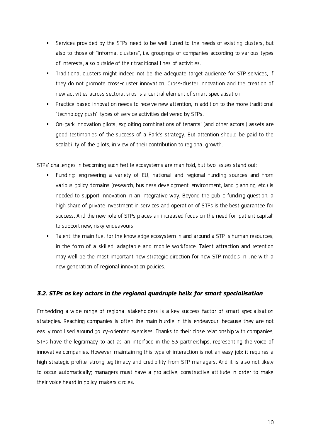- Services provided by the STPs need to be well-tuned to the needs of existing clusters, but also to those of "informal clusters", i.e. groupings of companies according to various types of interests, also outside of their traditional lines of activities.
- Traditional clusters might indeed not be the adequate target audience for STP services, if they do not promote cross-cluster innovation. Cross-cluster innovation and the creation of new activities across sectoral silos is a central element of smart specialisation.
- Practice-based innovation needs to receive new attention, in addition to the more traditional "technology push"-types of service activities delivered by STPs.
- On-park innovation pilots, exploiting combinations of tenants' (and other actors') assets are good testimonies of the success of a Park's strategy. But attention should be paid to the scalability of the pilots, in view of their contribution to regional growth.

STPs' challenges in becoming such fertile ecosystems are manifold, but two issues stand out:

- Funding: engineering a variety of EU, national and regional funding sources and from various policy domains (research, business development, environment, land planning, etc.) is needed to support innovation in an integrative way. Beyond the public funding question, a high share of private investment in services and operation of STPs is the best guarantee for success. And the new role of STPs places an increased focus on the need for 'patient capital' to support new, risky endeavours;
- **Talent: the main fuel for the knowledge ecosystem in and around a STP is human resources,** in the form of a skilled, adaptable and mobile workforce. Talent attraction and retention may well be the most important new strategic direction for new STP models in line with a new generation of regional innovation policies.

#### 3.2. STPs as key actors in the regional quadruple helix for smart specialisation

Embedding a wide range of regional stakeholders is a key success factor of smart specialisation strategies. Reaching companies is often the main hurdle in this endeavour, because they are not easily mobilised around policy-oriented exercises. Thanks to their close relationship with companies, STPs have the legitimacy to act as an interface in the S3 partnerships, representing the voice of innovative companies. However, maintaining this type of interaction is not an easy job: it requires a high strategic profile, strong legitimacy and credibility from STP managers. And it is also not likely to occur automatically; managers must have a pro-active, constructive attitude in order to make their voice heard in policy-makers circles.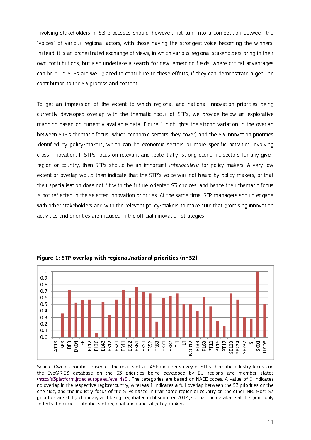Involving stakeholders in S3 processes should, however, not turn into a competition between the "voices" of various regional actors, with those having the strongest voice becoming the winners. Instead, it is an orchestrated exchange of views, in which various regional stakeholders bring in their own contributions, but also undertake a search for new, emerging fields, where critical advantages can be built. STPs are well placed to contribute to these efforts, if they can demonstrate a genuine contribution to the S3 process and content.

To get an impression of the extent to which regional and national innovation priorities being currently developed overlap with the thematic focus of STPs, we provide below an explorative mapping based on currently available data. Figure 1 highlights the strong variation in the overlap between STP's thematic focus (which economic sectors they cover) and the S3 innovation priorities identified by policy-makers, which can be economic sectors or more specific activities involving cross-innovation. If STPs focus on relevant and (potentially) strong economic sectors for any given region or country, then STPs should be an important *interlocuteur* for policy-makers. A very low extent of overlap would then indicate that the STP's voice was not heard by policy-makers, or that their specialisation does not fit with the future-oriented S3 choices, and hence their thematic focus is not reflected in the selected innovation priorities. At the same time, STP managers should engage with other stakeholders and with the relevant policy-makers to make sure that promising innovation activities and priorities are included in the official innovation strategies.



Figure 1: STP overlap with regional/national priorities (n=32)

Source: Own elaboration based on the results of an IASP member survey of STPs' thematic industry focus and the Eye@RIS3 database on the S3 priorities being developed by EU regions and member states (http://s3platform.jrc.ec.europa.eu/eye-ris3). The categories are based on NACE codes. A value of 0 indicates no overlap in the respective region/country, whereas 1 indicates a full overlap between the S3 priorities on the one side, and the industry focus of the STPs based in that same region or country on the other. NB: Most S3 priorities are still preliminary and being negotiated until summer 2014, so that the database at this point only reflects the current intentions of regional and national policy-makers.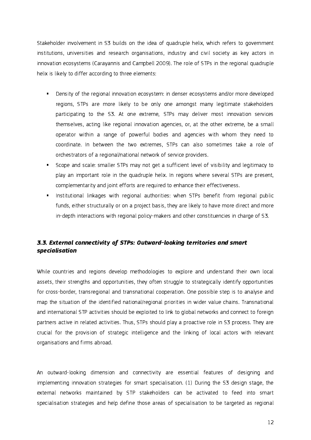Stakeholder involvement in S3 builds on the idea of quadruple helix, which refers to government institutions, universities and research organisations, industry and civil society as key actors in innovation ecosystems (Carayannis and Campbell 2009). The role of STPs in the regional quadruple helix is likely to differ according to three elements:

- Density of the regional innovation ecosystem: in denser ecosystems and/or more developed regions, STPs are more likely to be only one amongst many legitimate stakeholders participating to the S3. At one extreme, STPs may deliver most innovation services<br>themselves, acting like regional innovation agencies, or, at the other extreme, be a small<br>operator within a range of powerful bodies and a themselves, acting like regional innovation agencies, or, at the other extreme, be a small operator within a range of powerful bodies and agencies with whom they need to coordinate. In between the two extremes, STPs can also sometimes take a role of orchestrators of a regional/national network of service providers.
- Scope and scale: smaller STPs may not get a sufficient level of visibility and legitimacy to play an important role in the quadruple helix. In regions where several STPs are present, complementarity and joint efforts are required to enhance their effectiveness.
- **Institutional linkages with regional authorities: when STPs benefit from regional public** funds, either structurally or on a project basis, they are likely to have more direct and more in-depth interactions with regional policy-makers and other constituencies in charge of S3.

### 3.3. External connectivity of STPs: Outward-looking territories and smart specialisation

While countries and regions develop methodologies to explore and understand their own local assets, their strengths and opportunities, they often struggle to strategically identify opportunities for cross-border, transregional and transnational cooperation. One possible step is to analyse and map the situation of the identified national/regional priorities in wider value chains. Transnational and international STP activities should be exploited to link to global networks and connect to foreign partners active in related activities. Thus, STPs should play a proactive role in S3 process. They are crucial for the provision of strategic intelligence and the linking of local actors with relevant organisations and firms abroad.

An outward-looking dimension and connectivity are essential features of designing and implementing innovation strategies for smart specialisation. (1) During the S3 design stage, the external networks maintained by STP stakeholders can be activated to feed into smart specialisation strategies and help define those areas of specialisation to be targeted as regional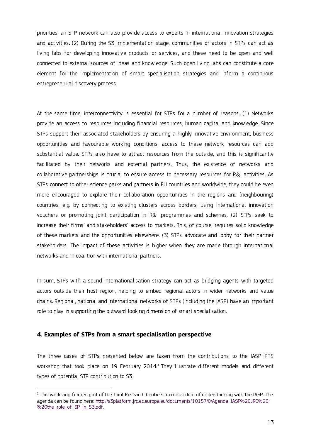priorities; an STP network can also provide access to experts in international innovation strategies and activities. (2) During the S3 implementation stage, communities of actors in STPs can act as living labs for developing innovative products or services, and these need to be open and well connected to external sources of ideas and knowledge. Such open living labs can constitute a core element for the implementation of smart specialisation strategies and inform a continuous entrepreneurial discovery process.

At the same time, interconnectivity is essential for STPs for a number of reasons. (1) Networks provide an access to resources including financial resources, human capital and knowledge. Since STPs support their associated stakeholders by ensuring a highly innovative environment, business opportunities and favourable working conditions, access to these network resources can add substantial value. STPs also have to attract resources from the outside, and this is significantly facilitated by their networks and external partners. Thus, the existence of networks and collaborative partnerships is crucial to ensure access to necessary resources for R&I activities. As STPs connect to other science parks and partners in EU countries and worldwide, they could be even more encouraged to explore their collaboration opportunities in the regions and (neighbouring) countries, e.g. by connecting to existing clusters across borders, using international innovation vouchers or promoting joint participation in R&I programmes and schemes. (2) STPs seek to increase their firms' and stakeholders' access to markets. This, of course, requires solid knowledge of these markets and the opportunities elsewhere. (3) STPs advocate and lobby for their partner stakeholders. The impact of these activities is higher when they are made through international networks and in coalition with international partners.

In sum, STPs with a sound internationalisation strategy can act as bridging agents with targeted actors outside their host region, helping to embed regional actors in wider networks and value chains. Regional, national and international networks of STPs (including the IASP) have an important role to play in supporting the outward-looking dimension of smart specialisation.

#### 4. Examples of STPs from a smart specialisation perspective

The three cases of STPs presented below are taken from the contributions to the IASP-IPTS workshop that took place on 19 February 2014. $^{\rm 1}$  They illustrate different models and different types of potential STP contribution to S3.

 $^{\rm 1}$  This workshop formed part of the Joint Research Centre's memorandum of understanding with the IASP. The agenda can be found here: http://s3platform.jrc.ec.europa.eu/documents/10157/0/Agenda\_IASP%20JRC%20- %20the\_role\_of\_SP\_in\_S3.pdf.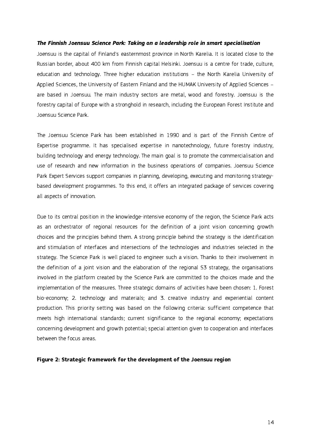#### The Finnish Joensuu Science Park: Taking on a leadership role in smart specialisation

Joensuu is the capital of Finland's easternmost province in North Karelia. It is located close to the Russian border, about 400 km from Finnish capital Helsinki. Joensuu is a centre for trade, culture, education and technology. Three higher education institutions – the North Karelia University of Applied Sciences, the University of Eastern Finland and the HUMAK University of Applied Sciences – are based in Joensuu. The main industry sectors are metal, wood and forestry. Joensuu is the forestry capital of Europe with a stronghold in research, including the European Forest Institute and Joensuu Science Park.

The Joensuu Science Park has been established in 1990 and is part of the Finnish Centre of Expertise programme. It has specialised expertise in nanotechnology, future forestry industry, building technology and energy technology. The main goal is to promote the commercialisation and use of research and new information in the business operations of companies. Joensuu Science Park Expert Services support companies in planning, developing, executing and monitoring strategybased development programmes. To this end, it offers an integrated package of services covering all aspects of innovation.

Due to its central position in the knowledge-intensive economy of the region, the Science Park acts as an orchestrator of regional resources for the definition of a joint vision concerning growth choices and the principles behind them. A strong principle behind the strategy is the identification and stimulation of interfaces and intersections of the technologies and industries selected in the strategy. The Science Park is well placed to engineer such a vision. Thanks to their involvement in the definition of a joint vision and the elaboration of the regional S3 strategy, the organisations involved in the platform created by the Science Park are committed to the choices made and the implementation of the measures. Three strategic domains of activities have been chosen: 1. Forest bio-economy; 2. technology and materials; and 3. creative industry and experiential content production. This priority setting was based on the following criteria: sufficient competence that meets high international standards; current significance to the regional economy; expectations concerning development and growth potential; special attention given to cooperation and interfaces between the focus areas.<br>Fi**gure 2: Strategic fran**<br>.<br>.

#### Figure 2: Strategic framework for the development of the Joensuu region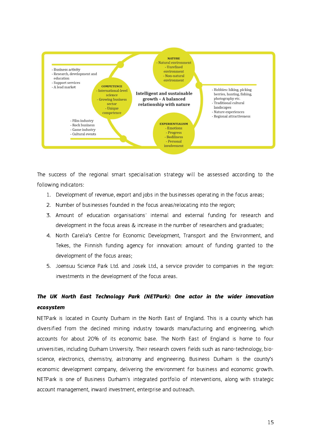

The success of the regional smart specialisation strategy will be assessed according to the following indicators:

- 1. Development of revenue, export and jobs in the businesses operating in the focus areas;
- 2. Number of businesses founded in the focus areas/relocating into the region;
- 3. Amount of education organisations' internal and external funding for research and development in the focus areas & increase in the number of researchers and graduates;
- 4. North Carelia's Centre for Economic Development, Transport and the Environment, and Tekes, the Fiinnish funding agency for innovation: amount of funding granted to the development of the focus areas;
- 5. Joensuu Science Park Ltd. and Josek Ltd., a service provider to companies in the region: investments in the development of the focus areas.

# The UK North East Technology Park (NETPark): One actor in the wider innovation ecosystem

NETPark is located in County Durham in the North East of England. This is a county which has diversified from the declined mining industry towards manufacturing and engineering, which accounts for about 20% of its economic base. The North East of England is home to four universities, including Durham University. Their research covers fields such as nano-technology, bio-<br>science, electronics, chemistry, universities, including Durham University. Their research covers fields such as nano-technology, bioscience, electronics, chemistry, astronomy and engineering. Business Durham is the county's economic development company, delivering the environment for business and economic growth.<br>NETPark is one of Business Durham's integrated portfolio of interventions, along with strategic<br>account management, inward investme NETPark is one of Business Durham's integrated portfolio of interventions, along with strategic account management, inward investment, enterprise and outreach.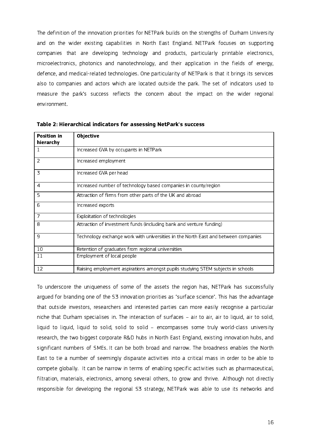The definition of the innovation priorities for NETPark builds on the strengths of Durham University and on the wider existing capabilities in North East England. NETPark focuses on supporting companies that are developing technology and products, particularly printable electronics, microelectronics, photonics and nanotechnology, and their application in the fields of energy, defence, and medical-related technologies. One particularity of NETPark is that it brings its services also to companies and actors which are located outside the park. The set of indicators used to measure the park's success reflects the concern about the impact on the wider regional environment.

| Objective                                                                          |
|------------------------------------------------------------------------------------|
| Increased GVA by occupants in NETPark                                              |
| Increased employment                                                               |
| Increased GVA per head                                                             |
| Increased number of technology based companies in county/region                    |
| Attraction of firms from other parts of the UK and abroad                          |
| Increased exports                                                                  |
| Exploitation of technologies                                                       |
| Attraction of investment funds (including bank and venture funding)                |
| Technology exchange work with universities in the North East and between companies |
| Retention of graduates from regional universities                                  |
| Employment of local people                                                         |
| Raising employment aspirations amongst pupils studying STEM subjects in schools    |
|                                                                                    |

Table 2: Hierarchical indicators for assessing NetPark's success

To underscore the uniqueness of some of the assets the region has, NETPark has successfully argued for branding one of the S3 innovation priorities as "surface science". This has the advantage that outside investors, researchers and interested parties can more easily recognise a particular niche that Durham specialises in. The interaction of surfaces – air to air, air to liquid, air to solid, liquid to liquid, liquid to solid, solid to solid – encompasses some truly world-class university research, the two biggest corporate R&D hubs in North East England, existing innovation hubs, and significant numbers of SMEs. It can be both broad and narrow. The broadness enables the North East to tie a number of seemingly disparate activities into a critical mass in order to be able to compete globally. It can be narrow in terms of enabling specific activities such as pharmaceutical, filtration, materials, electronics, among several others, to grow and thrive. Although not directly responsible for developing the regional S3 strategy, NETPark was able to use its networks and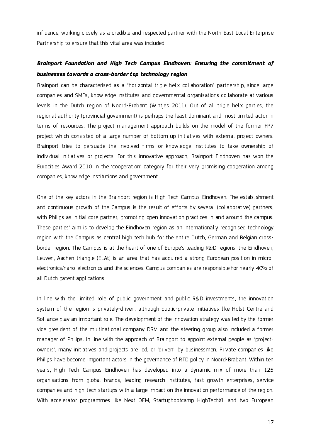influence, working closely as a credible and respected partner with the North East Local Enterprise Partnership to ensure that this vital area was included.

## Brainport Foundation and High Tech Campus Eindhoven: Ensuring the commitment of businesses towards a cross-border top technology region

Brainport can be characterised as a "horizontal triple helix collaboration" partnership, since large companies and SMEs, knowledge institutes and governmental organisations collaborate at various levels in the Dutch region of Noord-Brabant (Wintjes 2011). Out of all triple helix parties, the regional authority (provincial government) is perhaps the least dominant and most limited actor in terms of resources. The project management approach builds on the model of the former FP7 project which consisted of a large number of bottom-up initiatives with external project owners. Brainport tries to persuade the involved firms or knowledge institutes to take ownership of individual initiatives or projects. For this innovative approach, Brainport Eindhoven has won the Eurocities Award 2010 in the 'cooperation' category for their very promising cooperation among companies, knowledge institutions and government.

One of the key actors in the Brainport region is High Tech Campus Eindhoven. The establishment and continuous growth of the Campus is the result of efforts by several (collaborative) partners, with Philips as initial core partner, promoting open innovation practices in and around the campus. These parties' aim is to develop the Eindhoven region as an internationally recognised technology region with the Campus as central high tech hub for the entire Dutch, German and Belgian cross-Leuven, Aachen triangle (ELAt) is an area that has acquired a strong European position in microelectronics/nano-electronics and life sciences. Campus companies are responsible for nearly 40% of all Dutch patent applications.

border region. The Campus is at the heart of one of Europe's leading R&D regions: the Eindhoven,<br>Leuven, Aachen triangle (ELAt) is an area that has acquired a strong European position in micro-<br>electronics/nano-electronics In line with the limited role of public government and public R&D investments, the innovation system of the region is privately-driven, although public-private initiatives like Holst Centre and Solliance play an important role. The development of the innovation strategy was led by the former vice president of the multinational company DSM and the steering group also included a former manager of Philips. In line with the approach of Brainport to appoint external people as 'projectowners', many initiatives and projects are led, or 'driven', by businessmen. Private companies like Philips have become important actors in the governance of RTD policy in Noord-Brabant. Within ten years, High Tech Campus Eindhoven has developed into a dynamic mix of more than 125 organisations from global brands, leading research institutes, fast growth enterprises, service companies and high-tech startups with a large impact on the innovation performance of the region. With accelerator programmes like Next OEM, Startupbootcamp HighTechXL and two European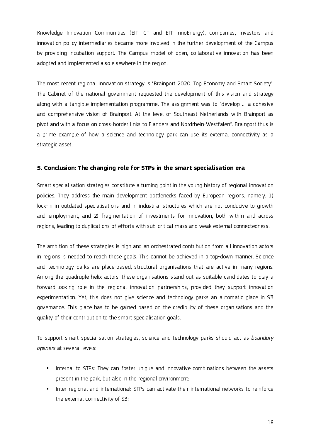Knowledge Innovation Communities (EIT ICT and EIT InnoEnergy), companies, investors and innovation policy intermediaries became more involved in the further development of the Campus by providing incubation support. The Campus model of open, collaborative innovation has been adopted and implemented also elsewhere in the region.

The most recent regional innovation strategy is "Brainport 2020: Top Economy and Smart Society". The Cabinet of the national government requested the development of this vision and strategy along with a tangible implementation programme. The assignment was to "develop … a cohesive and comprehensive vision of Brainport. At the level of Southeast Netherlands with Brainport as pivot and with a focus on cross-border links to Flanders and Nordrhein-Westfalen". Brainport thus is a prime example of how a science and technology park can use its external connectivity as a strategic asset.

#### 5. Conclusion: The changing role for STPs in the smart specialisation era

Smart specialisation strategies constitute a turning point in the young history of regional innovation policies. They address the main development bottlenecks faced by European regions, namely: 1) lock-in in outdated specialisations and in industrial structures which are not conducive to growth and employment, and 2) fragmentation of investments for innovation, both within and across regions, leading to duplications of efforts with sub-critical mass and weak external connectedness.

The ambition of these strategies is high and an orchestrated contribution from all innovation actors in regions is needed to reach these goals. This cannot be achieved in a top-down manner. Science and technology parks are place-based, structural organisations that are active in many regions. Among the quadruple helix actors, these organisations stand out as suitable candidates to play a forward-looking role in the regional innovation partnerships, provided they support innovation experimentation. Yet, this does not give science and technology parks an automatic place in S3 governance. This place has to be gained based on the credibility of these organisations and the quality of their contribution to the smart specialisation goals.

To support smart specialisation strategies, science and technology parks should act as boundary openers at several levels:

- **Internal to STPs: They can foster unique and innovative combinations between the assets** present in the park, but also in the regional environment;
- **Inter-regional and international: STPs can activate their international networks to reinforce** the external connectivity of S3;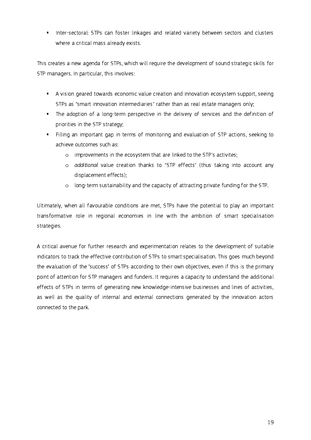**Inter-sectoral: STPs can foster linkages and related variety between sectors and clusters** where a critical mass already exists.

This creates a new agenda for STPs, which will require the development of sound strategic skills for STP managers. In particular, this involves:

- A vision geared towards economic value creation and innovation ecosystem support, seeing STPs as "smart innovation intermediaries" rather than as real estate managers only;
- The adoption of a long-term perspective in the delivery of services and the definition of priorities in the STP strategy;
- Filling an important gap in terms of monitoring and evaluation of STP actions, seeking to achieve outcomes such as:
	- o improvements in the ecosystem that are linked to the STP's activites;
	- o additional value creation thanks to "STP effects" (thus taking into account any displacement effects);
	- o long-term sustainability and the capacity of attracting private funding for the STP.

Ultimately, when all favourable conditions are met, STPs have the potential to play an important transformative role in regional economies in line with the ambition of smart specialisation strategies.

A critical avenue for further research and experimentation relates to the development of suitable indicators to track the effective contribution of STPs to smart specialisation. This goes much beyond the evaluation of the 'success' of STPs according to their own objectives, even if this is the primary point of attention for STP managers and funders. It requires a capacity to understand the additional effects of STPs in terms of generating new knowledge-intensive businesses and lines of activities, as well as the quality of internal and external connections generated by the innovation actors connected to the park.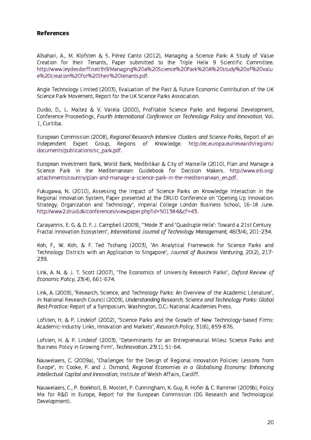#### References

Albahari, A., M. Klofsten & S. Pérez Canto (2012), Managing a Science Park: A Study of Value Creation for their Tenants, Paper submitted to the Triple Helix 9 Scientific Committee. http://www.leydesdorff.net/th9/Managing%20a%20Science%20Park%20A%20study%20of%20valu e%20creation%20for%20their%20tenants.pdf.

Angle Technology Limited (2003), Evaluation of the Past & Future Economic Contribution of the UK Science Park Movement, Report for the UK Science Parks Association.

Durão, D., L. Maltez & V. Varela (2000), Profitable Science Parks and Regional Development, Conference Proceedings, Fourth International Conference on Technology Policy and Innovation, Vol. 1, Curitiba.

European Commission (2008), Regional Research Intensive Clusters and Science Parks, Report of an Independent Expert Group, Regions of Knowledge. http://ec.europa.eu/research/regions/ documents/publications/sc\_park.pdf.

European Investment Bank, World Bank, Medibitikar & City of Marseille (2010), Plan and Manage a Science Park in the Mediterranean: Guidebook for Decision Makers. http://www.eib.org/ attachments/country/plan-and-manage-a-science-park-in-the-mediterranean\_en.pdf.

Fukugawa, N. (2010), Assessing the Impact of Science Parks on Knowledge Interaction in the Regional Innovation System, Paper presented at the DRUID Conference on "Opening Up Innovation: Strategy, Organization and Technology", Imperial College London Business School, 16-18 June. http://www2.druid.dk/conferences/viewpaper.php?id=501384&cf=43.

Carayannis, E. G. & D. F. J. Campbell (2009), "'Mode 3' and 'Quadruple Helix': Toward a 21st Century Fractal Innovation Ecosystem", International Journal of Technology Management, 46(3/4), 201-234.

Koh, F., W. Koh, & F. Ted Tschang (2003), "An Analytical Framework for Science Parks and Technology Districts with an Application to Singapore", Journal of Business Venturing, 20(2), 217- 239.

Link, A. N. & J. T. Scott (2007), "The Economics of University Research Parks", Oxford Review of Economic Policy, 23(4), 661-674.

Link, A. (2009), "Research, Science, and Technology Parks: An Overview of the Academic Literature", in: National Research Council (2009), Understanding Research, Science and Technology Parks: Global Best Practice: Report of a Symposium. Washington, D.C.: National Academies Press.

Lofsten, H. & P. Lindelof (2002), "Science Parks and the Growth of New Technology-based Firms: Academic-Industry Links, Innovation and Markets", Research Policy, 31(6), 859-876.

Lofsten, H. & P. Lindelof (2003), "Determinants for an Entrepreneurial Milieu: Science Parks and Business Policy in Growing Firm", Technovation, 23(1), 51-64.

Nauwelaers, C. (2009a), "Challenges for the Design of Regional Innovation Policies: Lessons from Europe", in: Cooke, P. and J. Osmond, Regional Economies in a Globalising Economy: Enhancing Intellectual Capital and Innovation, Institute of Welsh Affairs, Cardiff.

Nauwelaers, C., P. Boekholt, B. Mostert, P. Cunningham, K. Guy, R. Hofer & C. Rammer (2009b), Policy Mix for R&D in Europe, Report for the European Commission (DG Research and Technological Development).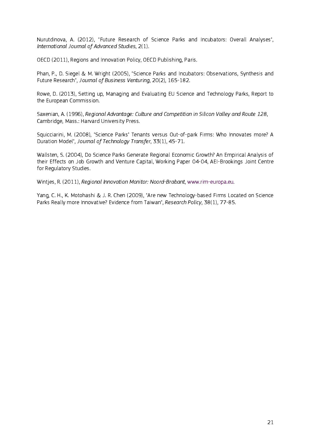Nurutdinova, A. (2012), "Future Research of Science Parks and Incubators: Overall Analyses", International Journal of Advanced Studies, 2(1).

OECD (2011), Regions and Innovation Policy, OECD Publishing, Paris.

Phan, P., D. Siegel & M. Wright (2005), "Science Parks and Incubators: Observations, Synthesis and Future Research", Journal of Business Venturing, 20(2), 165-182.

Rowe, D. (2013), Setting up, Managing and Evaluating EU Science and Technology Parks, Report to the European Commission.

Saxenian, A. (1996), Regional Advantage: Culture and Competition in Silicon Valley and Route 128, Cambridge, Mass.: Harvard University Press.

Squicciarini, M. (2008), "Science Parks' Tenants versus Out-of-park Firms: Who Innovates more? A Duration Model", Journal of Technology Transfer, 33(1), 45-71.

Wallsten, S. (2004), Do Science Parks Generate Regional Economic Growth? An Empirical Analysis of their Effects on Job Growth and Venture Capital, Working Paper 04-04, AEI-Brookings Joint Centre for Regulatory Studies.

Winties, R. (2011), Regional Innovation Monitor: Noord-Brabant, www.rim-europa.eu.

Yang, C. H., K. Motohashi & J. R. Chen (2009), "Are new Technology-based Firms Located on Science Parks Really more Innovative? Evidence from Taiwan", Research Policy, 38(1), 77-85.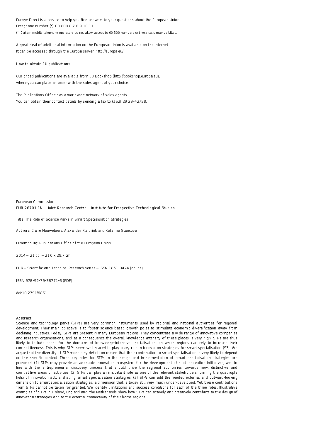Europe Direct is a service to help you find answers to your questions about the European Union Freephone number (\*): 00 800 6 7 8 9 10 11 (\*) Certain mobile telephone operators do not allow access to 00 800 numbers or these calls may be billed.

A great deal of additional information on the European Union is available on the Internet. It can be accessed through the Europa server http://europa.eu/.

#### How to obtain EU publications

Our priced publications are available from EU Bookshop (http://bookshop.europa.eu), where you can place an order with the sales agent of your choice.

The Publications Office has a worldwide network of sales agents. You can obtain their contact details by sending a fax to (352) 29 29-42758.

European Commission EUR 26701 EN – Joint Research Centre – Institute for Prospective Technological Studies

Title: The Role of Science Parks in Smart Specialisation Strategies

Authors: Claire Nauwelaers, Alexander Kleibrink and Katerina Stancova

Luxembourg: Publications Office of the European Union

2014 – 21 pp. – 21.0 x 29.7 cm

EUR – Scientific and Technical Research series – ISSN 1831-9424 (online)

ISBN 978-92-79-38771-5 (PDF)

doi:10.2791/8851

#### Abstract

Science and technology parks (STPs) are very common instruments used by regional and national authorities for regional development. Their main objective is to foster science-based growth poles to stimulate economic diversification away from declining industries. Today, STPs are present in many European regions. They concentrate a wide range of innovative companies and research organisations, and as a consequence the overall knowledge intensity of these places is very high. STPs are thus likely to include seeds for the domains of knowledge-intensive specialisation, on which regions can rely to increase their competitiveness. This is why STPs seem well placed to play a key role in innovation strategies for smart specialisation (S3). We argue that the diversity of STP models by definition means that their contribution to smart specialisation is very likely to depend on the specific context. Three key roles for STPs in the design and implementation of smart specialisation strategies are proposed: (1) STPs may provide an adequate innovation ecosystem for the development of pilot innovation initiatives, well in line with the entrepreneurial discovery process that should drive the regional economies towards new, distinctive and competitive areas of activities. (2) STPs can play an important role as one of the relevant stakeholders forming the quadruple helix of innovation actors shaping smart specialisation strategies. (3) STPs can add the needed external and outward-looking dimension to smart specialisation strategies, a dimension that is today still very much under-developed. Yet, these contributions from STPs cannot be taken for granted. We identify limitations and success conditions for each of the three roles. Illustrative examples of STPs in Finland, England and the Netherlands show how STPs can actively and creatively contribute to the design of innovation strategies and to the external connectivity of their home regions.